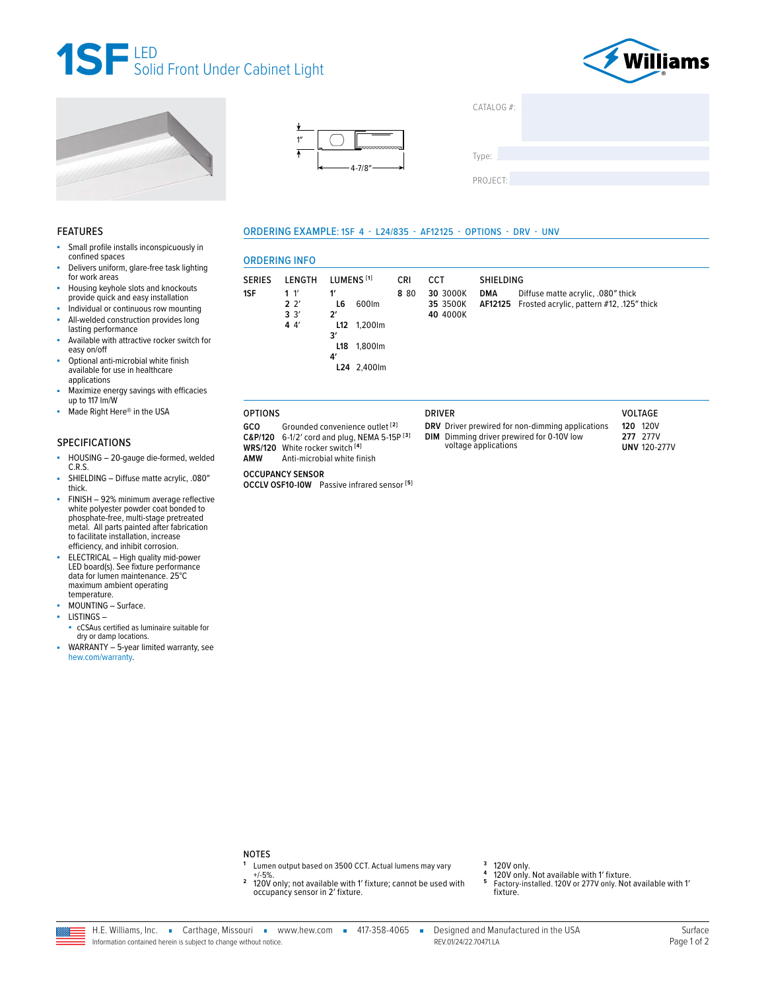







| CATALOG #: |  |  |
|------------|--|--|
|            |  |  |
|            |  |  |
| Type:      |  |  |
|            |  |  |
| PROJECT:   |  |  |
|            |  |  |

### **FEATURES**

- ä, Small profile installs inconspicuously in confined spaces
- Delivers uniform, glare-free task lighting for work areas
- Housing keyhole slots and knockouts provide quick and easy installation
- à. Individual or continuous row mounting ä, All-welded construction provides long
- lasting performance Available with attractive rocker switch for
- easy on/off Optional anti-microbial white finish à.
- available for use in healthcare applications
- Maximize energy savings with efficacies up to 117 lm/W
- ä, Made Right Here® in the USA

# **SPECIFICATIONS**

- HOUSING 20-gauge die-formed, welded ä, C.R.S.
- SHIELDING Diffuse matte acrylic, .080" thick.
- FINISH 92% minimum average reflective<br>white polyester powder coat bonded to phosphate-free, multi-stage pretreated metal. All parts painted after fabrication to facilitate installation, increase efficiency, and inhibit corrosion.
- ELECTRICAL High quality mid-power LED board(s). See fixture performance data for lumen maintenance. 25°C maximum ambient operating temperature.
- MOUNTING Surface. ×
- LISTINGSà.
- cCSAus certified as luminaire suitable for dry or damp locations.
- WARRANTY 5-year limited warranty, see ä, hew.com/warranty.

# ORDERING EXAMPLE: 1SF 4 - L24/835 - AF12125 - OPTIONS - DRV - UNV

|                                  | <b>ORDERING INFO</b>               |                                                                                                |            |                                  |                                                                                                                                                                                          |
|----------------------------------|------------------------------------|------------------------------------------------------------------------------------------------|------------|----------------------------------|------------------------------------------------------------------------------------------------------------------------------------------------------------------------------------------|
| <b>SERIES</b>                    | LENGTH                             | LUMENS <sup>[1]</sup>                                                                          | <b>CRI</b> | CCT                              | <b>SHIELDING</b>                                                                                                                                                                         |
| 1SF                              | 1 '<br>$2^{2}$<br>3'<br>44'        | 1'<br>600lm<br>L6<br>$2^{\prime}$<br>L12 1,200 lm<br>3'<br>1,800lm<br>L18<br>4'<br>L24 2.400lm | 8 8 0      | 30 3000K<br>35 3500K<br>40 4000K | <b>DMA</b><br>Diffuse matte acrylic, .080" thick<br>Frosted acrylic, pattern #12, .125" thick<br>AF12125                                                                                 |
| <b>OPTIONS</b>                   |                                    |                                                                                                |            | <b>DRIVER</b>                    | <b>VOLTAGE</b>                                                                                                                                                                           |
| GCO<br>C&P/120<br><b>WRS/120</b> | White rocker switch <sup>[4]</sup> | Grounded convenience outlet [2]<br>6-1/2' cord and plug, NEMA 5-15P [3]                        |            |                                  | <b>120V</b><br>DRV Driver prewired for non-dimming applications<br>120<br>277V<br><b>DIM</b> Dimming driver prewired for 0-10V low<br>277<br>voltage applications<br><b>UNV 120-277V</b> |

# **OCCUPANCY SENSOR**

AMW

OCCLV OSF10-IOW Passive infrared sensor<sup>[5]</sup>

Anti-microbial white finish

#### **NOTES**

- Lumen output based on 3500 CCT. Actual lumens may vary  $+/-5%$ .
- $\mathbf 2$ 120V only; not available with 1' fixture; cannot be used with occupancy sensor in 2' fixture.
- $\overline{\mathbf{3}}$
- 120V only.<br>120V only. Not available with 1' fixture.  $\overline{4}$
- 5 Factory-installed. 120V or 277V only. Not available with 1' fixture.